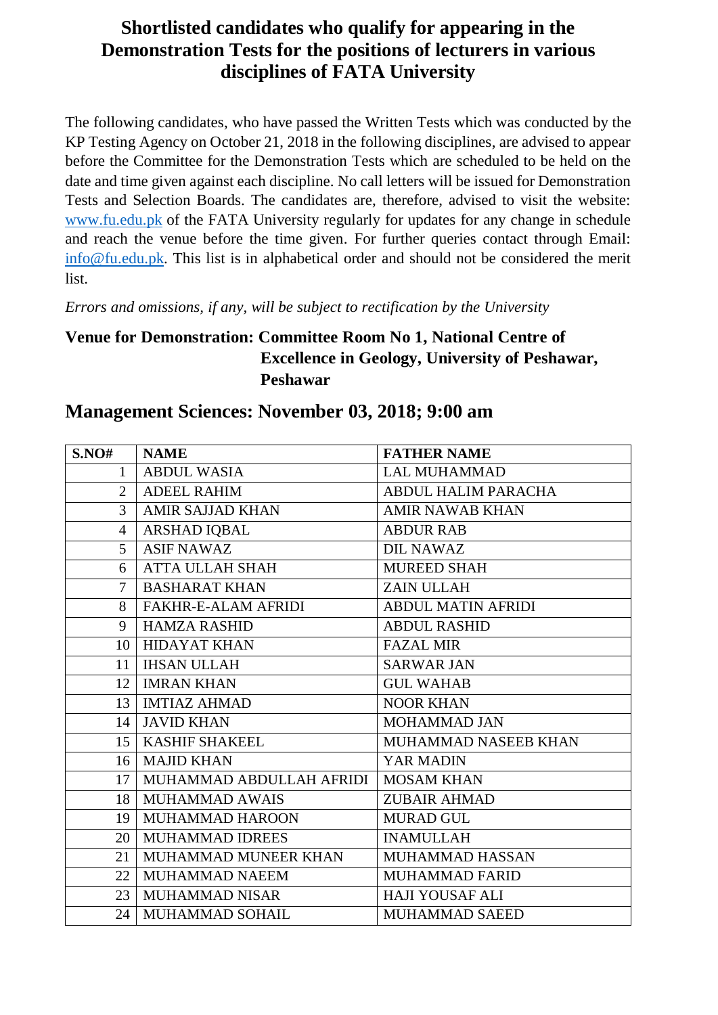### **Shortlisted candidates who qualify for appearing in the Demonstration Tests for the positions of lecturers in various disciplines of FATA University**

The following candidates, who have passed the Written Tests which was conducted by the KP Testing Agency on October 21, 2018 in the following disciplines, are advised to appear before the Committee for the Demonstration Tests which are scheduled to be held on the date and time given against each discipline. No call letters will be issued for Demonstration Tests and Selection Boards. The candidates are, therefore, advised to visit the website: [www.fu.edu.pk](http://www.fu.edu.pk/) of the FATA University regularly for updates for any change in schedule and reach the venue before the time given. For further queries contact through Email: [info@fu.edu.pk.](mailto:info@fu.edu.pk) This list is in alphabetical order and should not be considered the merit list.

*Errors and omissions, if any, will be subject to rectification by the University*

#### **Venue for Demonstration: Committee Room No 1, National Centre of Excellence in Geology, University of Peshawar, Peshawar**

#### **Management Sciences: November 03, 2018; 9:00 am**

| S.NO#          | <b>NAME</b>                | <b>FATHER NAME</b>         |
|----------------|----------------------------|----------------------------|
| $\mathbf{1}$   | <b>ABDUL WASIA</b>         | <b>LAL MUHAMMAD</b>        |
| $\overline{2}$ | <b>ADEEL RAHIM</b>         | <b>ABDUL HALIM PARACHA</b> |
| 3              | <b>AMIR SAJJAD KHAN</b>    | <b>AMIR NAWAB KHAN</b>     |
| 4              | ARSHAD IQBAL               | <b>ABDUR RAB</b>           |
| 5              | <b>ASIF NAWAZ</b>          | <b>DIL NAWAZ</b>           |
| 6              | <b>ATTA ULLAH SHAH</b>     | <b>MUREED SHAH</b>         |
| $\overline{7}$ | <b>BASHARAT KHAN</b>       | <b>ZAIN ULLAH</b>          |
| 8              | <b>FAKHR-E-ALAM AFRIDI</b> | <b>ABDUL MATIN AFRIDI</b>  |
| 9              | <b>HAMZA RASHID</b>        | <b>ABDUL RASHID</b>        |
| 10             | <b>HIDAYAT KHAN</b>        | <b>FAZAL MIR</b>           |
| 11             | <b>IHSAN ULLAH</b>         | <b>SARWAR JAN</b>          |
| 12             | <b>IMRAN KHAN</b>          | <b>GUL WAHAB</b>           |
| 13             | <b>IMTIAZ AHMAD</b>        | <b>NOOR KHAN</b>           |
|                | 14   JAVID KHAN            | MOHAMMAD JAN               |
|                | 15   KASHIF SHAKEEL        | MUHAMMAD NASEEB KHAN       |
|                | 16   MAJID KHAN            | YAR MADIN                  |
| 17             | MUHAMMAD ABDULLAH AFRIDI   | <b>MOSAM KHAN</b>          |
| 18             | <b>MUHAMMAD AWAIS</b>      | <b>ZUBAIR AHMAD</b>        |
| 19             | <b>MUHAMMAD HAROON</b>     | MURAD GUL                  |
| 20             | <b>MUHAMMAD IDREES</b>     | <b>INAMULLAH</b>           |
| 21             | MUHAMMAD MUNEER KHAN       | <b>MUHAMMAD HASSAN</b>     |
| 22             | MUHAMMAD NAEEM             | <b>MUHAMMAD FARID</b>      |
| 23             | <b>MUHAMMAD NISAR</b>      | <b>HAJI YOUSAF ALI</b>     |
| 24             | <b>MUHAMMAD SOHAIL</b>     | <b>MUHAMMAD SAEED</b>      |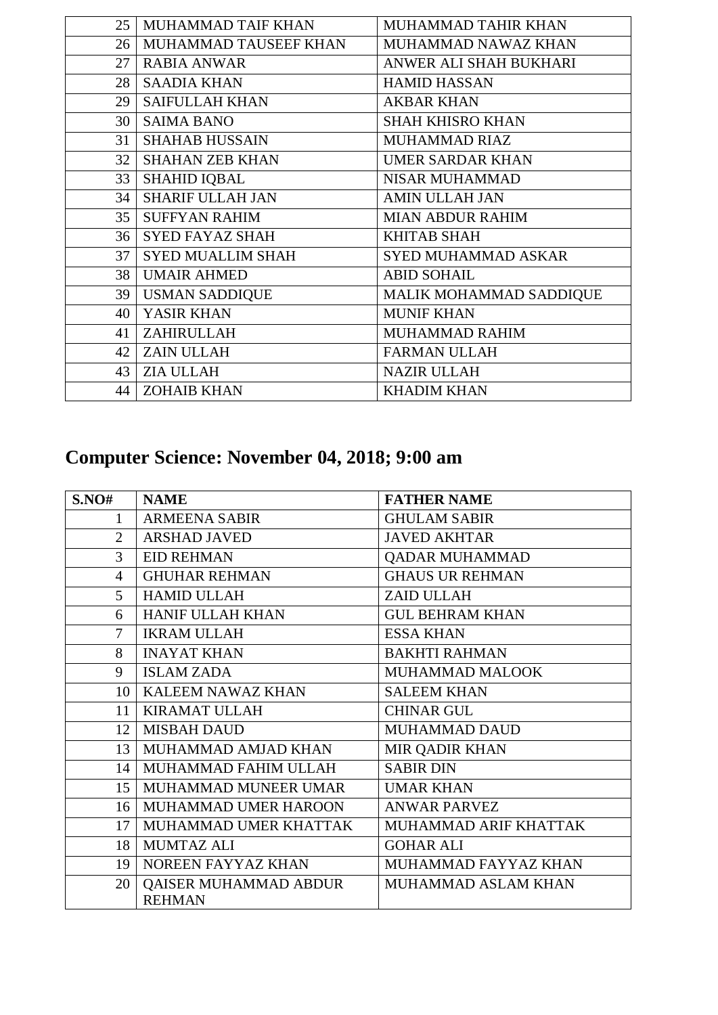| 25 | MUHAMMAD TAIF KHAN       | MUHAMMAD TAHIR KHAN        |
|----|--------------------------|----------------------------|
| 26 | MUHAMMAD TAUSEEF KHAN    | MUHAMMAD NAWAZ KHAN        |
| 27 | <b>RABIA ANWAR</b>       | ANWER ALI SHAH BUKHARI     |
|    | 28   SAADIA KHAN         | <b>HAMID HASSAN</b>        |
| 29 | <b>SAIFULLAH KHAN</b>    | <b>AKBAR KHAN</b>          |
|    | 30   SAIMA BANO          | <b>SHAH KHISRO KHAN</b>    |
| 31 | <b>SHAHAB HUSSAIN</b>    | MUHAMMAD RIAZ              |
| 32 | <b>SHAHAN ZEB KHAN</b>   | <b>UMER SARDAR KHAN</b>    |
| 33 | <b>SHAHID IQBAL</b>      | <b>NISAR MUHAMMAD</b>      |
| 34 | <b>SHARIF ULLAH JAN</b>  | <b>AMIN ULLAH JAN</b>      |
|    | 35   SUFFYAN RAHIM       | <b>MIAN ABDUR RAHIM</b>    |
|    | 36   SYED FAYAZ SHAH     | <b>KHITAB SHAH</b>         |
| 37 | <b>SYED MUALLIM SHAH</b> | <b>SYED MUHAMMAD ASKAR</b> |
|    | 38   UMAIR AHMED         | <b>ABID SOHAIL</b>         |
| 39 | USMAN SADDIQUE           | MALIK MOHAMMAD SADDIQUE    |
| 40 | YASIR KHAN               | <b>MUNIF KHAN</b>          |
| 41 | ZAHIRULLAH               | MUHAMMAD RAHIM             |
|    | 42   ZAIN ULLAH          | <b>FARMAN ULLAH</b>        |
| 43 | <b>ZIA ULLAH</b>         | <b>NAZIR ULLAH</b>         |
| 44 | <b>ZOHAIB KHAN</b>       | <b>KHADIM KHAN</b>         |

# **Computer Science: November 04, 2018; 9:00 am**

| S.NO#          | <b>NAME</b>                  | <b>FATHER NAME</b>     |
|----------------|------------------------------|------------------------|
| $\mathbf{1}$   | <b>ARMEENA SABIR</b>         | <b>GHULAM SABIR</b>    |
| $\overline{2}$ | <b>ARSHAD JAVED</b>          | <b>JAVED AKHTAR</b>    |
| 3              | <b>EID REHMAN</b>            | QADAR MUHAMMAD         |
| 4              | <b>GHUHAR REHMAN</b>         | <b>GHAUS UR REHMAN</b> |
| 5              | <b>HAMID ULLAH</b>           | ZAID ULLAH             |
| 6              | HANIF ULLAH KHAN             | <b>GUL BEHRAM KHAN</b> |
| $\overline{7}$ | <b>IKRAM ULLAH</b>           | <b>ESSA KHAN</b>       |
| 8              | <b>INAYAT KHAN</b>           | <b>BAKHTI RAHMAN</b>   |
| 9              | <b>ISLAM ZADA</b>            | <b>MUHAMMAD MALOOK</b> |
| 10             | KALEEM NAWAZ KHAN            | <b>SALEEM KHAN</b>     |
| 11             | <b>KIRAMAT ULLAH</b>         | <b>CHINAR GUL</b>      |
| 12             | <b>MISBAH DAUD</b>           | <b>MUHAMMAD DAUD</b>   |
| 13             | MUHAMMAD AMJAD KHAN          | <b>MIR QADIR KHAN</b>  |
| 14             | MUHAMMAD FAHIM ULLAH         | <b>SABIR DIN</b>       |
| 15             | MUHAMMAD MUNEER UMAR         | <b>UMAR KHAN</b>       |
| 16             | MUHAMMAD UMER HAROON         | <b>ANWAR PARVEZ</b>    |
| 17             | MUHAMMAD UMER KHATTAK        | MUHAMMAD ARIF KHATTAK  |
| 18             | <b>MUMTAZ ALI</b>            | <b>GOHAR ALI</b>       |
| 19             | NOREEN FAYYAZ KHAN           | MUHAMMAD FAYYAZ KHAN   |
| 20             | <b>QAISER MUHAMMAD ABDUR</b> | MUHAMMAD ASLAM KHAN    |
|                | <b>REHMAN</b>                |                        |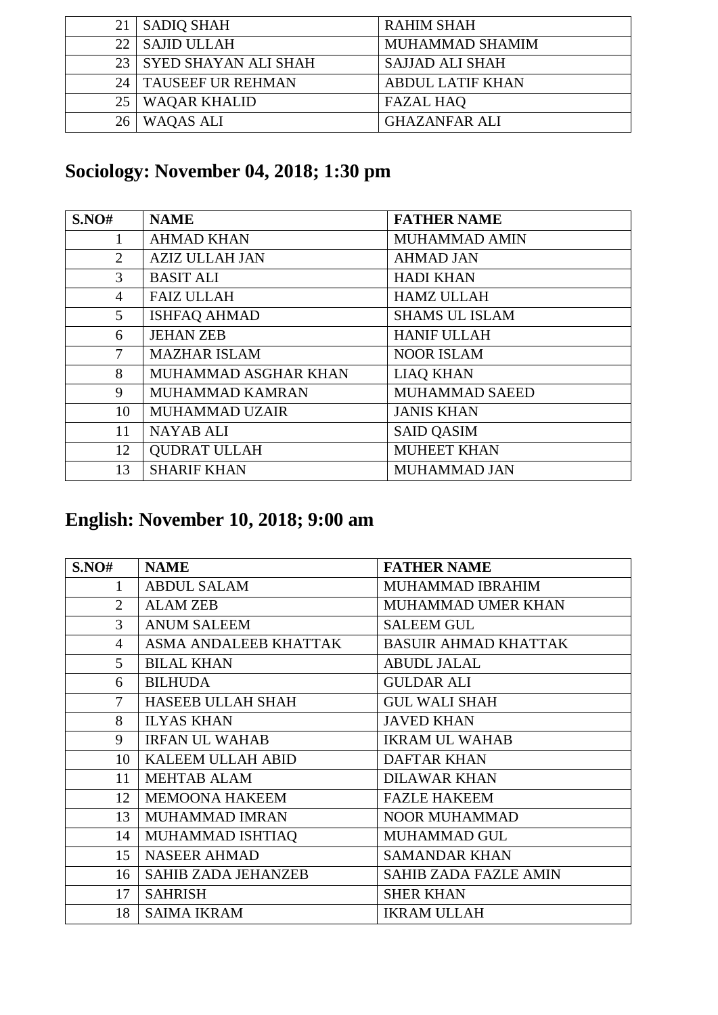| 21  | SADIO SHAH                | <b>RAHIM SHAH</b>       |
|-----|---------------------------|-------------------------|
| 22. | <b>SAJID ULLAH</b>        | MUHAMMAD SHAMIM         |
|     | 23   SYED SHAYAN ALI SHAH | <b>SAJJAD ALI SHAH</b>  |
| 24  | TAUSEEF UR REHMAN         | <b>ABDUL LATIF KHAN</b> |
| 25  | <b>WAQAR KHALID</b>       | <b>FAZAL HAQ</b>        |
| 26  | <b>WAQAS ALI</b>          | <b>GHAZANFAR ALI</b>    |

## **Sociology: November 04, 2018; 1:30 pm**

| S.NO#          | <b>NAME</b>           | <b>FATHER NAME</b>    |
|----------------|-----------------------|-----------------------|
|                | <b>AHMAD KHAN</b>     | <b>MUHAMMAD AMIN</b>  |
| $\overline{2}$ | <b>AZIZ ULLAH JAN</b> | <b>AHMAD JAN</b>      |
| 3              | <b>BASIT ALI</b>      | <b>HADI KHAN</b>      |
| $\overline{4}$ | <b>FAIZ ULLAH</b>     | <b>HAMZ ULLAH</b>     |
| 5              | <b>ISHFAQ AHMAD</b>   | <b>SHAMS UL ISLAM</b> |
| 6              | <b>JEHAN ZEB</b>      | <b>HANIF ULLAH</b>    |
| $\tau$         | <b>MAZHAR ISLAM</b>   | <b>NOOR ISLAM</b>     |
| 8              | MUHAMMAD ASGHAR KHAN  | <b>LIAQ KHAN</b>      |
| 9              | MUHAMMAD KAMRAN       | <b>MUHAMMAD SAEED</b> |
| 10             | MUHAMMAD UZAIR        | <b>JANIS KHAN</b>     |
| 11             | <b>NAYAB ALI</b>      | <b>SAID QASIM</b>     |
| 12             | <b>QUDRAT ULLAH</b>   | <b>MUHEET KHAN</b>    |
| 13             | <b>SHARIF KHAN</b>    | <b>MUHAMMAD JAN</b>   |

### **English: November 10, 2018; 9:00 am**

| S.NO#          | <b>NAME</b>                | <b>FATHER NAME</b>           |
|----------------|----------------------------|------------------------------|
|                | <b>ABDUL SALAM</b>         | MUHAMMAD IBRAHIM             |
| $\overline{2}$ | <b>ALAM ZEB</b>            | MUHAMMAD UMER KHAN           |
| 3              | <b>ANUM SALEEM</b>         | <b>SALEEM GUL</b>            |
| 4              | ASMA ANDALEEB KHATTAK      | <b>BASUIR AHMAD KHATTAK</b>  |
| 5              | <b>BILAL KHAN</b>          | <b>ABUDL JALAL</b>           |
| 6              | <b>BILHUDA</b>             | <b>GULDAR ALI</b>            |
| $\overline{7}$ | <b>HASEEB ULLAH SHAH</b>   | <b>GUL WALI SHAH</b>         |
| 8              | <b>ILYAS KHAN</b>          | <b>JAVED KHAN</b>            |
| 9              | <b>IRFAN UL WAHAB</b>      | <b>IKRAM UL WAHAB</b>        |
| 10             | <b>KALEEM ULLAH ABID</b>   | <b>DAFTAR KHAN</b>           |
| 11             | <b>MEHTAB ALAM</b>         | <b>DILAWAR KHAN</b>          |
| 12             | <b>MEMOONA HAKEEM</b>      | <b>FAZLE HAKEEM</b>          |
| 13             | MUHAMMAD IMRAN             | <b>NOOR MUHAMMAD</b>         |
| 14             | MUHAMMAD ISHTIAQ           | MUHAMMAD GUL                 |
| 15             | <b>NASEER AHMAD</b>        | <b>SAMANDAR KHAN</b>         |
| 16             | <b>SAHIB ZADA JEHANZEB</b> | <b>SAHIB ZADA FAZLE AMIN</b> |
| 17             | <b>SAHRISH</b>             | <b>SHER KHAN</b>             |
| 18             | <b>SAIMA IKRAM</b>         | <b>IKRAM ULLAH</b>           |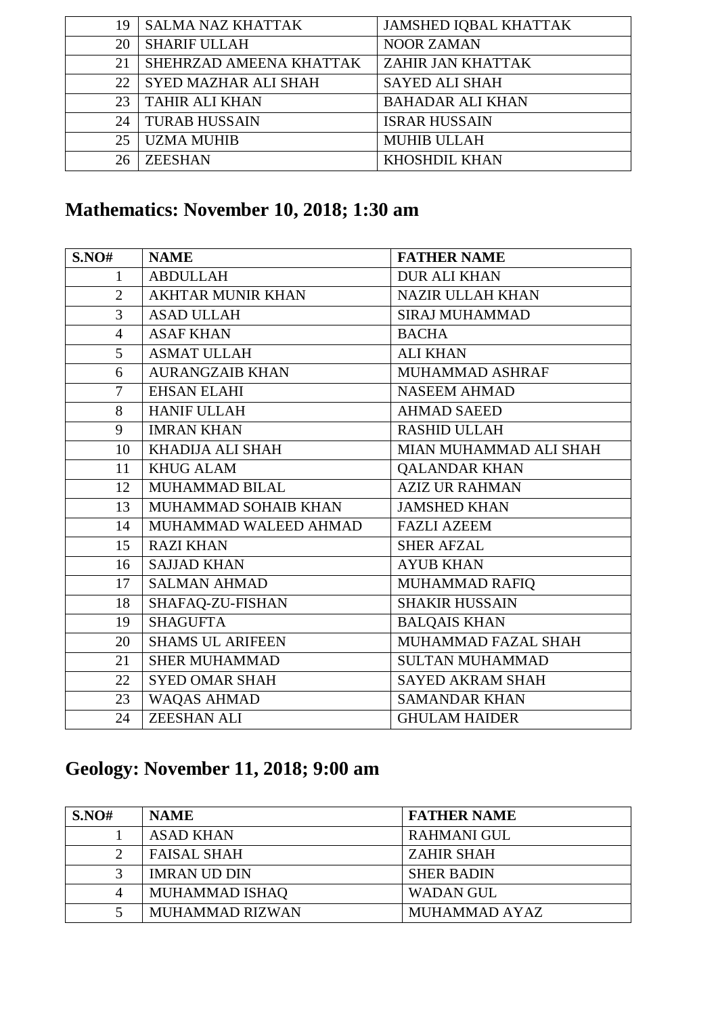| 19 | <b>SALMA NAZ KHATTAK</b>    | <b>JAMSHED IQBAL KHATTAK</b> |
|----|-----------------------------|------------------------------|
| 20 | <b>SHARIF ULLAH</b>         | <b>NOOR ZAMAN</b>            |
| 21 | SHEHRZAD AMEENA KHATTAK     | ZAHIR JAN KHATTAK            |
| 22 | <b>SYED MAZHAR ALI SHAH</b> | <b>SAYED ALI SHAH</b>        |
| 23 | <b>TAHIR ALI KHAN</b>       | <b>BAHADAR ALI KHAN</b>      |
| 24 | <b>TURAB HUSSAIN</b>        | <b>ISRAR HUSSAIN</b>         |
| 25 | <b>UZMA MUHIB</b>           | <b>MUHIB ULLAH</b>           |
| 26 | <b>ZEESHAN</b>              | <b>KHOSHDIL KHAN</b>         |
|    |                             |                              |

## **Mathematics: November 10, 2018; 1:30 am**

| S.NO#          | <b>NAME</b>              | <b>FATHER NAME</b>      |
|----------------|--------------------------|-------------------------|
| $\mathbf{1}$   | <b>ABDULLAH</b>          | <b>DUR ALI KHAN</b>     |
| $\overline{2}$ | <b>AKHTAR MUNIR KHAN</b> | <b>NAZIR ULLAH KHAN</b> |
| 3              | <b>ASAD ULLAH</b>        | <b>SIRAJ MUHAMMAD</b>   |
| $\overline{4}$ | <b>ASAF KHAN</b>         | <b>BACHA</b>            |
| 5              | <b>ASMAT ULLAH</b>       | <b>ALI KHAN</b>         |
| 6              | <b>AURANGZAIB KHAN</b>   | MUHAMMAD ASHRAF         |
| $\overline{7}$ | <b>EHSAN ELAHI</b>       | <b>NASEEM AHMAD</b>     |
| 8              | <b>HANIF ULLAH</b>       | <b>AHMAD SAEED</b>      |
| 9              | <b>IMRAN KHAN</b>        | <b>RASHID ULLAH</b>     |
| 10             | KHADIJA ALI SHAH         | MIAN MUHAMMAD ALI SHAH  |
| 11             | <b>KHUG ALAM</b>         | <b>QALANDAR KHAN</b>    |
| 12             | <b>MUHAMMAD BILAL</b>    | <b>AZIZ UR RAHMAN</b>   |
| 13             | MUHAMMAD SOHAIB KHAN     | <b>JAMSHED KHAN</b>     |
| 14             | MUHAMMAD WALEED AHMAD    | <b>FAZLI AZEEM</b>      |
| 15             | <b>RAZI KHAN</b>         | <b>SHER AFZAL</b>       |
| 16             | <b>SAJJAD KHAN</b>       | <b>AYUB KHAN</b>        |
| 17             | <b>SALMAN AHMAD</b>      | MUHAMMAD RAFIQ          |
| 18             | SHAFAQ-ZU-FISHAN         | <b>SHAKIR HUSSAIN</b>   |
| 19             | <b>SHAGUFTA</b>          | <b>BALQAIS KHAN</b>     |
| 20             | <b>SHAMS UL ARIFEEN</b>  | MUHAMMAD FAZAL SHAH     |
| 21             | <b>SHER MUHAMMAD</b>     | <b>SULTAN MUHAMMAD</b>  |
| 22             | <b>SYED OMAR SHAH</b>    | <b>SAYED AKRAM SHAH</b> |
| 23             | WAQAS AHMAD              | <b>SAMANDAR KHAN</b>    |
| 24             | <b>ZEESHAN ALI</b>       | <b>GHULAM HAIDER</b>    |

### **Geology: November 11, 2018; 9:00 am**

| S.NO#             | <b>NAME</b>         | <b>FATHER NAME</b> |
|-------------------|---------------------|--------------------|
|                   | <b>ASAD KHAN</b>    | <b>RAHMANI GUL</b> |
| ∍                 | <b>FAISAL SHAH</b>  | <b>ZAHIR SHAH</b>  |
| $\mathbf{\Omega}$ | <b>IMRAN UD DIN</b> | <b>SHER BADIN</b>  |
| 4                 | MUHAMMAD ISHAQ      | <b>WADAN GUL</b>   |
|                   | MUHAMMAD RIZWAN     | MUHAMMAD AYAZ      |